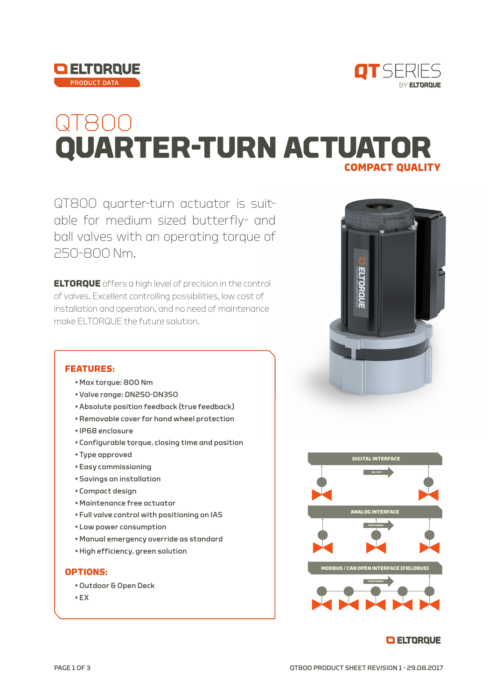



# QI800<br>QUARTER-TURN ACTUATOR **COMPACT QUALITY**

QT800 quarter-turn actuator is suitable for medium sized butterfly- and ball valves with an operating torque of 250-800 Nm.

**ELTORQUE** offers a high level of precision in the control of valves. Excellent controlling possibilities, low cost of installation and operation, and no need of maintenance make ELTORQUE the future solution.

#### **FEATURES:**

- Max torque: 800 Nm
- Valve range: DN250-DN350
- Absolute position feedback (true feedback)
- Removable cover for hand wheel protection
- IP68 enclosure
- Configurable torque, closing time and position
- Type approved
- Easy commissioning
- Savings on installation
- Compact design
- Maintenance free actuator
- Full valve control with positioning on IAS
- Low power consumption
- Manual emergency override as standard
- High efficiency, green solution

#### **OPTIONS:**

- Outdoor & Open Deck
- EX





#### **O ELTORQUE**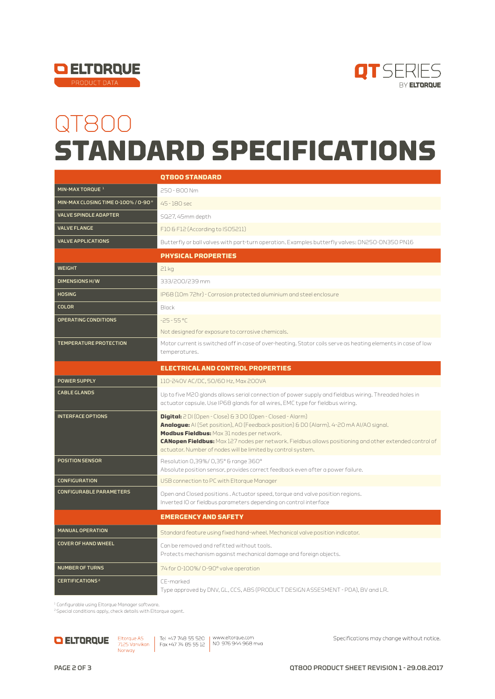



## QT800 **STANDARD SPECIFICATIONS**

|                                     | <b>QT800 STANDARD</b>                                                                                                                                                                   |
|-------------------------------------|-----------------------------------------------------------------------------------------------------------------------------------------------------------------------------------------|
| MIN-MAX TORQUE <sup>1</sup>         | 250-800 Nm                                                                                                                                                                              |
| MIN-MAX CLOSING TIME 0-100% / 0-90° | 45-180 sec                                                                                                                                                                              |
| <b>VALVE SPINDLE ADAPTER</b>        | SQ27, 45mm depth                                                                                                                                                                        |
| <b>VALVE FLANGE</b>                 | F10 & F12 (According to ISO5211)                                                                                                                                                        |
| <b>VALVE APPLICATIONS</b>           | Butterfly or ball valves with part-turn operation. Examples butterfly valves: DN250-DN350 PN16                                                                                          |
|                                     | <b>PHYSICAL PROPERTIES</b>                                                                                                                                                              |
| <b>WEIGHT</b>                       | 21kg                                                                                                                                                                                    |
| <b>DIMENSIONS H/W</b>               | 333/200/239 mm                                                                                                                                                                          |
| <b>HOSING</b>                       | IP68 (10m 72hr) - Corrosion protected aluminium and steel enclosure                                                                                                                     |
| <b>COLOR</b>                        | Black                                                                                                                                                                                   |
| <b>OPERATING CONDITIONS</b>         | $-25 - 55 °C$                                                                                                                                                                           |
|                                     | Not designed for exposure to corrosive chemicals.                                                                                                                                       |
| <b>TEMPERATURE PROTECTION</b>       | Motor current is switched off in case of over-heating. Stator coils serve as heating elements in case of low<br>temperatures.                                                           |
|                                     |                                                                                                                                                                                         |
|                                     | <b>ELECTRICAL AND CONTROL PROPERTIES</b>                                                                                                                                                |
| <b>POWER SUPPLY</b>                 | 110-240V AC/DC, 50/60 Hz, Max 200VA                                                                                                                                                     |
| <b>CABLE GLANDS</b>                 | Up to five M2O glands allows serial connection of power supply and fieldbus wiring. Threaded holes in<br>actuator capsule. Use IP68 glands for all wires, EMC type for fieldbus wiring. |
| <b>INTERFACE OPTIONS</b>            | <b>Digital:</b> 2 DI (Open - Close) & 3 DO (Open - Closed - Alarm)                                                                                                                      |
|                                     | <b>Analogue:</b> Al (Set position), AO (Feedback position) & DO (Alarm). 4-20 mA Al/AO signal.<br>Modbus Fieldbus: Max 31 nodes per network.                                            |
|                                     | CANopen Fieldbus: Max 127 nodes per network. Fieldbus allows positioning and other extended control of<br>actuator. Number of nodes will be limited by control system.                  |
| <b>POSITION SENSOR</b>              | Resolution 0,39%/0,35° & range 360°                                                                                                                                                     |
|                                     | Absolute position sensor, provides correct feedback even after a power failure.                                                                                                         |
| <b>CONFIGURATION</b>                | USB connection to PC with Eltorque Manager                                                                                                                                              |
| <b>CONFIGURABLE PARAMETERS</b>      | Open and Closed positions. Actuator speed, torque and valve position regions.<br>Inverted IO or fieldbus parameters depending on control interface                                      |
|                                     | <b>EMERGENCY AND SAFETY</b>                                                                                                                                                             |
| <b>MANUAL OPERATION</b>             | Standard feature using fixed hand-wheel. Mechanical valve position indicator.                                                                                                           |
| <b>COVER OF HAND WHEEL</b>          | Can be removed and refitted without tools.<br>Protects mechanism against mechanical damage and foreign objects.                                                                         |
| <b>NUMBER OF TURNS</b>              | 74 for 0-100%/ 0-90° valve operation                                                                                                                                                    |
| <b>CERTIFICATIONS<sup>2</sup></b>   | CE-marked<br>Type approved by DNV, GL, CCS, ABS (PRODUCT DESIGN ASSESMENT - PDA), BV and LR.                                                                                            |

1 Configurable using Eltorque Manager software.

<sup>2</sup> Special conditions apply, check details with Eltorque agent.



Specifications may change without notice.